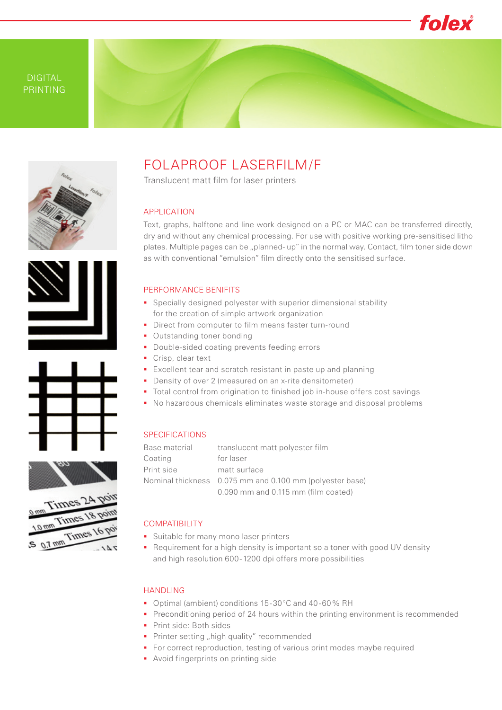

# DIGITAL PRINTING



# FOLAPROOF LASERFILM/F Translucent matt film for laser printers

## APPLICATION

Text, graphs, halftone and line work designed on a PC or MAC can be transferred directly, dry and without any chemical processing. For use with positive working pre-sensitised litho plates. Multiple pages can be "planned- up" in the normal way. Contact, film toner side down as with conventional "emulsion" film directly onto the sensitised surface.

#### PERFORMANCE BENIFITS

- Specially designed polyester with superior dimensional stability for the creation of simple artwork organization
- Direct from computer to film means faster turn-round
- **Outstanding toner bonding**
- Double-sided coating prevents feeding errors
- Crisp, clear text
- **Excellent tear and scratch resistant in paste up and planning**
- Density of over 2 (measured on an x-rite densitometer)
- Total control from origination to finished job in-house offers cost savings
- No hazardous chemicals eliminates waste storage and disposal problems

## **SPECIFICATIONS**

| Base material | translucent matt polyester film                          |  |
|---------------|----------------------------------------------------------|--|
| Coating       | for laser                                                |  |
| Print side    | matt surface                                             |  |
|               | Nominal thickness 0.075 mm and 0.100 mm (polyester base) |  |
|               | 0.090 mm and 0.115 mm (film coated)                      |  |

# COMPATIBILITY

- Suitable for many mono laser printers
- **•** Requirement for a high density is important so a toner with good UV density and high resolution 600 - 1200 dpi offers more possibilities

#### HANDLING

- Optimal (ambient) conditions 15-30°C and 40-60% RH
- **Preconditioning period of 24 hours within the printing environment is recommended**
- **Print side: Both sides**
- **Printer setting ... high quality" recommended**
- **For correct reproduction, testing of various print modes maybe required**
- **Avoid fingerprints on printing side**